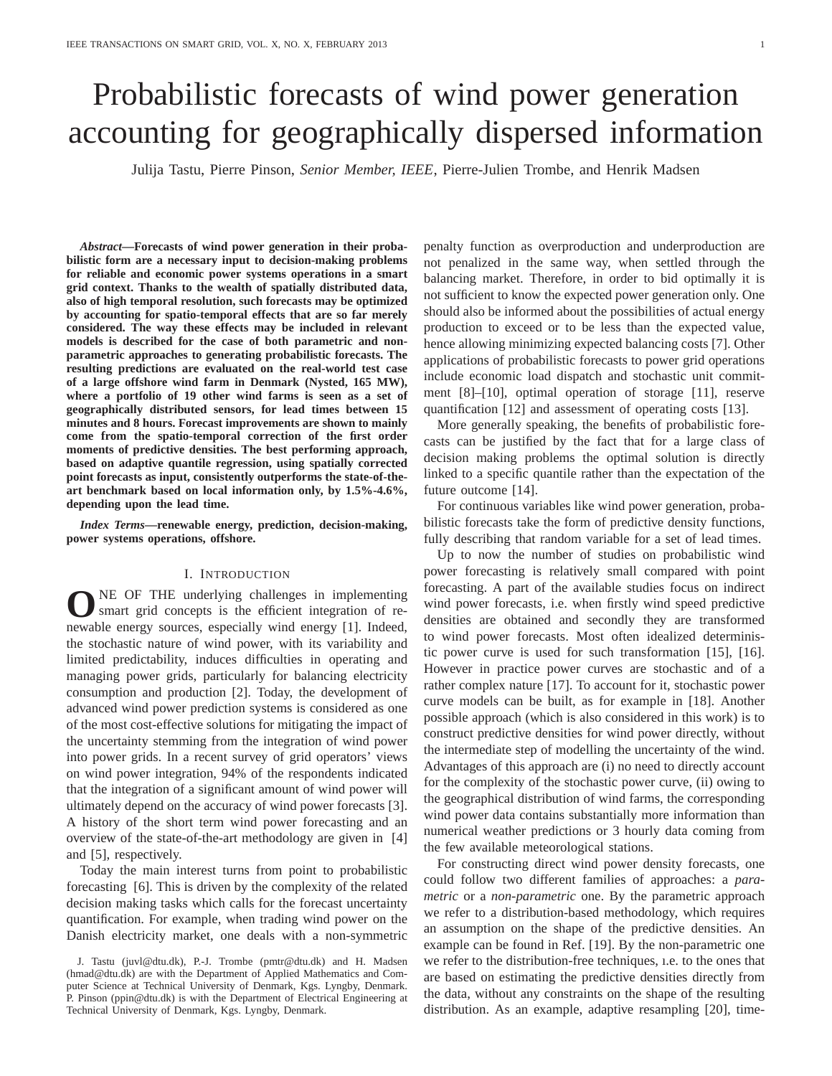# Probabilistic forecasts of wind power generation accounting for geographically dispersed information

Julija Tastu, Pierre Pinson, *Senior Member, IEEE*, Pierre-Julien Trombe, and Henrik Madsen

*Abstract***—Forecasts of wind power generation in their probabilistic form are a necessary input to decision-making problems for reliable and economic power systems operations in a smart grid context. Thanks to the wealth of spatially distributed data, also of high temporal resolution, such forecasts may be optimized by accounting for spatio-temporal effects that are so far merely considered. The way these effects may be included in relevant models is described for the case of both parametric and nonparametric approaches to generating probabilistic forecasts. The resulting predictions are evaluated on the real-world test case of a large offshore wind farm in Denmark (Nysted, 165 MW), where a portfolio of 19 other wind farms is seen as a set of geographically distributed sensors, for lead times between 15 minutes and 8 hours. Forecast improvements are shown to mainly come from the spatio-temporal correction of the first order moments of predictive densities. The best performing approach, based on adaptive quantile regression, using spatially corrected point forecasts as input, consistently outperforms the state-of-theart benchmark based on local information only, by 1.5%-4.6%, depending upon the lead time.**

*Index Terms***—renewable energy, prediction, decision-making, power systems operations, offshore.**

## I. INTRODUCTION

**O** NE OF THE underlying challenges in implementing smart grid concepts is the efficient integration of renewable energy sources, especially wind energy [1]. Indeed, NE OF THE underlying challenges in implementing smart grid concepts is the efficient integration of rethe stochastic nature of wind power, with its variability and limited predictability, induces difficulties in operating and managing power grids, particularly for balancing electricity consumption and production [2]. Today, the development of advanced wind power prediction systems is considered as one of the most cost-effective solutions for mitigating the impact of the uncertainty stemming from the integration of wind power into power grids. In a recent survey of grid operators' views on wind power integration, 94% of the respondents indicated that the integration of a significant amount of wind power will ultimately depend on the accuracy of wind power forecasts [3]. A history of the short term wind power forecasting and an overview of the state-of-the-art methodology are given in [4] and [5], respectively.

Today the main interest turns from point to probabilistic forecasting [6]. This is driven by the complexity of the related decision making tasks which calls for the forecast uncertainty quantification. For example, when trading wind power on the Danish electricity market, one deals with a non-symmetric

J. Tastu (juvl@dtu.dk), P.-J. Trombe (pmtr@dtu.dk) and H. Madsen (hmad@dtu.dk) are with the Department of Applied Mathematics and Computer Science at Technical University of Denmark, Kgs. Lyngby, Denmark. P. Pinson (ppin@dtu.dk) is with the Department of Electrical Engineering at Technical University of Denmark, Kgs. Lyngby, Denmark.

penalty function as overproduction and underproduction are not penalized in the same way, when settled through the balancing market. Therefore, in order to bid optimally it is not sufficient to know the expected power generation only. One should also be informed about the possibilities of actual energy production to exceed or to be less than the expected value, hence allowing minimizing expected balancing costs [7]. Other applications of probabilistic forecasts to power grid operations include economic load dispatch and stochastic unit commitment [8]–[10], optimal operation of storage [11], reserve quantification [12] and assessment of operating costs [13].

More generally speaking, the benefits of probabilistic forecasts can be justified by the fact that for a large class of decision making problems the optimal solution is directly linked to a specific quantile rather than the expectation of the future outcome [14].

For continuous variables like wind power generation, probabilistic forecasts take the form of predictive density functions, fully describing that random variable for a set of lead times.

Up to now the number of studies on probabilistic wind power forecasting is relatively small compared with point forecasting. A part of the available studies focus on indirect wind power forecasts, i.e. when firstly wind speed predictive densities are obtained and secondly they are transformed to wind power forecasts. Most often idealized deterministic power curve is used for such transformation [15], [16]. However in practice power curves are stochastic and of a rather complex nature [17]. To account for it, stochastic power curve models can be built, as for example in [18]. Another possible approach (which is also considered in this work) is to construct predictive densities for wind power directly, without the intermediate step of modelling the uncertainty of the wind. Advantages of this approach are (i) no need to directly account for the complexity of the stochastic power curve, (ii) owing to the geographical distribution of wind farms, the corresponding wind power data contains substantially more information than numerical weather predictions or 3 hourly data coming from the few available meteorological stations.

For constructing direct wind power density forecasts, one could follow two different families of approaches: a *parametric* or a *non-parametric* one. By the parametric approach we refer to a distribution-based methodology, which requires an assumption on the shape of the predictive densities. An example can be found in Ref. [19]. By the non-parametric one we refer to the distribution-free techniques, ı.e. to the ones that are based on estimating the predictive densities directly from the data, without any constraints on the shape of the resulting distribution. As an example, adaptive resampling [20], time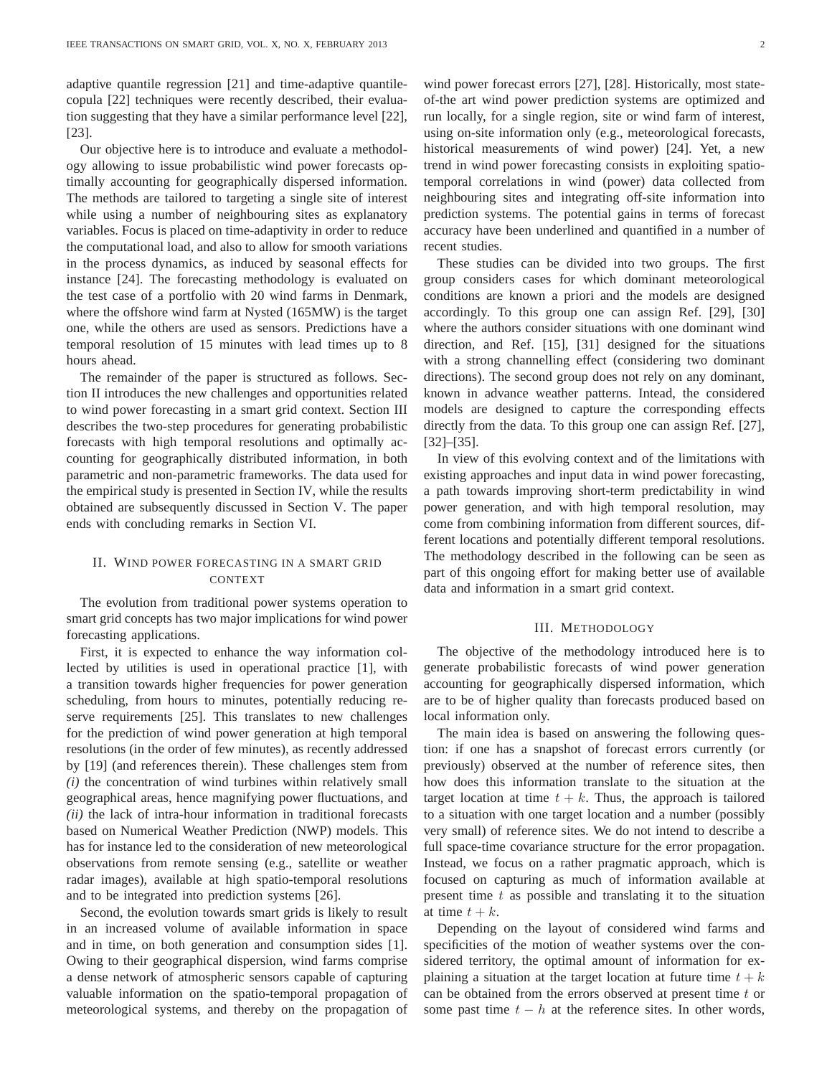adaptive quantile regression [21] and time-adaptive quantilecopula [22] techniques were recently described, their evaluation suggesting that they have a similar performance level [22], [23].

Our objective here is to introduce and evaluate a methodology allowing to issue probabilistic wind power forecasts optimally accounting for geographically dispersed information. The methods are tailored to targeting a single site of interest while using a number of neighbouring sites as explanatory variables. Focus is placed on time-adaptivity in order to reduce the computational load, and also to allow for smooth variations in the process dynamics, as induced by seasonal effects for instance [24]. The forecasting methodology is evaluated on the test case of a portfolio with 20 wind farms in Denmark, where the offshore wind farm at Nysted (165MW) is the target one, while the others are used as sensors. Predictions have a temporal resolution of 15 minutes with lead times up to 8 hours ahead.

The remainder of the paper is structured as follows. Section II introduces the new challenges and opportunities related to wind power forecasting in a smart grid context. Section III describes the two-step procedures for generating probabilistic forecasts with high temporal resolutions and optimally accounting for geographically distributed information, in both parametric and non-parametric frameworks. The data used for the empirical study is presented in Section IV, while the results obtained are subsequently discussed in Section V. The paper ends with concluding remarks in Section VI.

## II. WIND POWER FORECASTING IN A SMART GRID CONTEXT

The evolution from traditional power systems operation to smart grid concepts has two major implications for wind power forecasting applications.

First, it is expected to enhance the way information collected by utilities is used in operational practice [1], with a transition towards higher frequencies for power generation scheduling, from hours to minutes, potentially reducing reserve requirements [25]. This translates to new challenges for the prediction of wind power generation at high temporal resolutions (in the order of few minutes), as recently addressed by [19] (and references therein). These challenges stem from *(i)* the concentration of wind turbines within relatively small geographical areas, hence magnifying power fluctuations, and *(ii)* the lack of intra-hour information in traditional forecasts based on Numerical Weather Prediction (NWP) models. This has for instance led to the consideration of new meteorological observations from remote sensing (e.g., satellite or weather radar images), available at high spatio-temporal resolutions and to be integrated into prediction systems [26].

Second, the evolution towards smart grids is likely to result in an increased volume of available information in space and in time, on both generation and consumption sides [1]. Owing to their geographical dispersion, wind farms comprise a dense network of atmospheric sensors capable of capturing valuable information on the spatio-temporal propagation of meteorological systems, and thereby on the propagation of wind power forecast errors [27], [28]. Historically, most stateof-the art wind power prediction systems are optimized and run locally, for a single region, site or wind farm of interest, using on-site information only (e.g., meteorological forecasts, historical measurements of wind power) [24]. Yet, a new trend in wind power forecasting consists in exploiting spatiotemporal correlations in wind (power) data collected from neighbouring sites and integrating off-site information into prediction systems. The potential gains in terms of forecast accuracy have been underlined and quantified in a number of recent studies.

These studies can be divided into two groups. The first group considers cases for which dominant meteorological conditions are known a priori and the models are designed accordingly. To this group one can assign Ref. [29], [30] where the authors consider situations with one dominant wind direction, and Ref. [15], [31] designed for the situations with a strong channelling effect (considering two dominant directions). The second group does not rely on any dominant, known in advance weather patterns. Intead, the considered models are designed to capture the corresponding effects directly from the data. To this group one can assign Ref. [27], [32]–[35].

In view of this evolving context and of the limitations with existing approaches and input data in wind power forecasting, a path towards improving short-term predictability in wind power generation, and with high temporal resolution, may come from combining information from different sources, different locations and potentially different temporal resolutions. The methodology described in the following can be seen as part of this ongoing effort for making better use of available data and information in a smart grid context.

## III. METHODOLOGY

The objective of the methodology introduced here is to generate probabilistic forecasts of wind power generation accounting for geographically dispersed information, which are to be of higher quality than forecasts produced based on local information only.

The main idea is based on answering the following question: if one has a snapshot of forecast errors currently (or previously) observed at the number of reference sites, then how does this information translate to the situation at the target location at time  $t + k$ . Thus, the approach is tailored to a situation with one target location and a number (possibly very small) of reference sites. We do not intend to describe a full space-time covariance structure for the error propagation. Instead, we focus on a rather pragmatic approach, which is focused on capturing as much of information available at present time  $t$  as possible and translating it to the situation at time  $t + k$ .

Depending on the layout of considered wind farms and specificities of the motion of weather systems over the considered territory, the optimal amount of information for explaining a situation at the target location at future time  $t + k$ can be obtained from the errors observed at present time  $t$  or some past time  $t - h$  at the reference sites. In other words,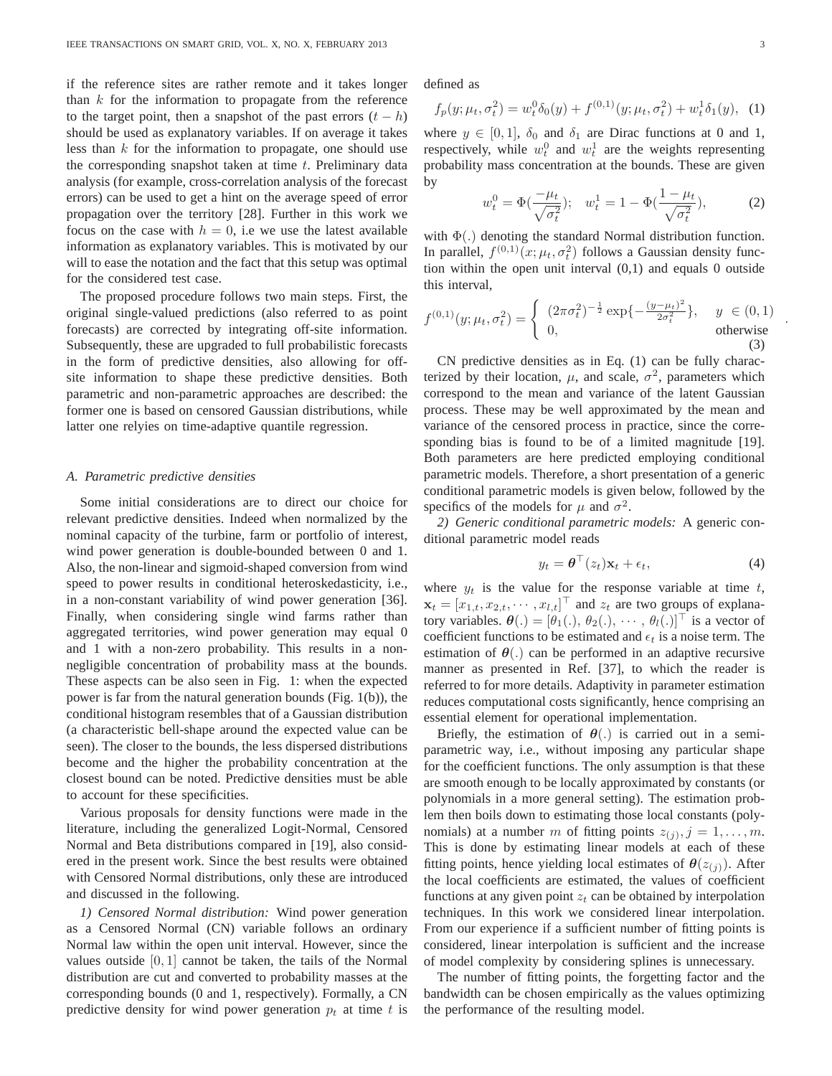if the reference sites are rather remote and it takes longer than  $k$  for the information to propagate from the reference to the target point, then a snapshot of the past errors  $(t - h)$ should be used as explanatory variables. If on average it takes less than  $k$  for the information to propagate, one should use the corresponding snapshot taken at time  $t$ . Preliminary data analysis (for example, cross-correlation analysis of the forecast errors) can be used to get a hint on the average speed of error propagation over the territory [28]. Further in this work we focus on the case with  $h = 0$ , i.e we use the latest available information as explanatory variables. This is motivated by our will to ease the notation and the fact that this setup was optimal for the considered test case.

The proposed procedure follows two main steps. First, the original single-valued predictions (also referred to as point forecasts) are corrected by integrating off-site information. Subsequently, these are upgraded to full probabilistic forecasts in the form of predictive densities, also allowing for offsite information to shape these predictive densities. Both parametric and non-parametric approaches are described: the former one is based on censored Gaussian distributions, while latter one relyies on time-adaptive quantile regression.

#### *A. Parametric predictive densities*

Some initial considerations are to direct our choice for relevant predictive densities. Indeed when normalized by the nominal capacity of the turbine, farm or portfolio of interest, wind power generation is double-bounded between 0 and 1. Also, the non-linear and sigmoid-shaped conversion from wind speed to power results in conditional heteroskedasticity, i.e., in a non-constant variability of wind power generation [36]. Finally, when considering single wind farms rather than aggregated territories, wind power generation may equal 0 and 1 with a non-zero probability. This results in a nonnegligible concentration of probability mass at the bounds. These aspects can be also seen in Fig. 1: when the expected power is far from the natural generation bounds (Fig. 1(b)), the conditional histogram resembles that of a Gaussian distribution (a characteristic bell-shape around the expected value can be seen). The closer to the bounds, the less dispersed distributions become and the higher the probability concentration at the closest bound can be noted. Predictive densities must be able to account for these specificities.

Various proposals for density functions were made in the literature, including the generalized Logit-Normal, Censored Normal and Beta distributions compared in [19], also considered in the present work. Since the best results were obtained with Censored Normal distributions, only these are introduced and discussed in the following.

*1) Censored Normal distribution:* Wind power generation as a Censored Normal (CN) variable follows an ordinary Normal law within the open unit interval. However, since the values outside  $[0, 1]$  cannot be taken, the tails of the Normal distribution are cut and converted to probability masses at the corresponding bounds (0 and 1, respectively). Formally, a CN predictive density for wind power generation  $p_t$  at time t is defined as

$$
f_p(y; \mu_t, \sigma_t^2) = w_t^0 \delta_0(y) + f^{(0,1)}(y; \mu_t, \sigma_t^2) + w_t^1 \delta_1(y), \tag{1}
$$

where  $y \in [0, 1]$ ,  $\delta_0$  and  $\delta_1$  are Dirac functions at 0 and 1, respectively, while  $w_t^0$  and  $w_t^1$  are the weights representing probability mass concentration at the bounds. These are given by

$$
w_t^0 = \Phi(\frac{-\mu_t}{\sqrt{\sigma_t^2}}); \quad w_t^1 = 1 - \Phi(\frac{1 - \mu_t}{\sqrt{\sigma_t^2}}), \tag{2}
$$

with  $\Phi(.)$  denoting the standard Normal distribution function. In parallel,  $f^{(0,1)}(x; \mu_t, \sigma_t^2)$  follows a Gaussian density function within the open unit interval  $(0,1)$  and equals 0 outside this interval,

$$
f^{(0,1)}(y; \mu_t, \sigma_t^2) = \begin{cases} (2\pi\sigma_t^2)^{-\frac{1}{2}} \exp\{-\frac{(y-\mu_t)^2}{2\sigma_t^2}\}, & y \in (0,1) \\ 0, & \text{otherwise} \end{cases}
$$
(3)

CN predictive densities as in Eq. (1) can be fully characterized by their location,  $\mu$ , and scale,  $\sigma^2$ , parameters which correspond to the mean and variance of the latent Gaussian process. These may be well approximated by the mean and variance of the censored process in practice, since the corresponding bias is found to be of a limited magnitude [19]. Both parameters are here predicted employing conditional parametric models. Therefore, a short presentation of a generic conditional parametric models is given below, followed by the specifics of the models for  $\mu$  and  $\sigma^2$ .

*2) Generic conditional parametric models:* A generic conditional parametric model reads

$$
y_t = \boldsymbol{\theta}^\top (z_t) \mathbf{x}_t + \epsilon_t, \tag{4}
$$

where  $y_t$  is the value for the response variable at time t,  $\mathbf{x}_t = [x_{1,t}, x_{2,t}, \dots, x_{l,t}]^\top$  and  $z_t$  are two groups of explanatory variables.  $\theta(.) = [\theta_1(.), \theta_2(.), \cdots, \theta_l(.)]^\top$  is a vector of coefficient functions to be estimated and  $\epsilon_t$  is a noise term. The estimation of  $\theta(.)$  can be performed in an adaptive recursive manner as presented in Ref. [37], to which the reader is referred to for more details. Adaptivity in parameter estimation reduces computational costs significantly, hence comprising an essential element for operational implementation.

Briefly, the estimation of  $\theta(.)$  is carried out in a semiparametric way, i.e., without imposing any particular shape for the coefficient functions. The only assumption is that these are smooth enough to be locally approximated by constants (or polynomials in a more general setting). The estimation problem then boils down to estimating those local constants (polynomials) at a number m of fitting points  $z_{(j)}$ ,  $j = 1, \ldots, m$ . This is done by estimating linear models at each of these fitting points, hence yielding local estimates of  $\theta(z_{(i)})$ . After the local coefficients are estimated, the values of coefficient functions at any given point  $z_t$  can be obtained by interpolation techniques. In this work we considered linear interpolation. From our experience if a sufficient number of fitting points is considered, linear interpolation is sufficient and the increase of model complexity by considering splines is unnecessary.

The number of fitting points, the forgetting factor and the bandwidth can be chosen empirically as the values optimizing the performance of the resulting model.

.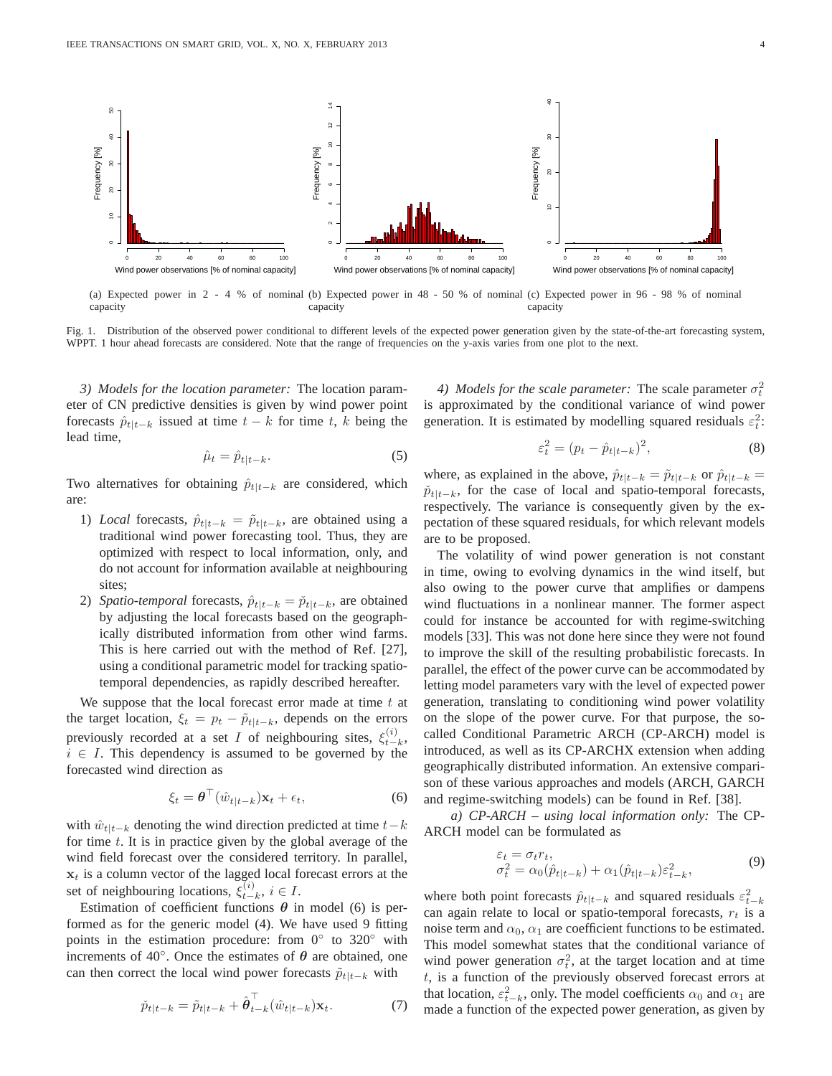

(a) Expected power in 2 - 4 % of nominal (b) Expected power in 48 - 50 % of nominal (c) Expected power in 96 - 98 % of nominal capacity capacity capacity

Fig. 1. Distribution of the observed power conditional to different levels of the expected power generation given by the state-of-the-art forecasting system, WPPT. 1 hour ahead forecasts are considered. Note that the range of frequencies on the y-axis varies from one plot to the next.

*3) Models for the location parameter:* The location parameter of CN predictive densities is given by wind power point forecasts  $\hat{p}_{t|t-k}$  issued at time  $t - k$  for time t, k being the lead time,

$$
\hat{\mu}_t = \hat{p}_{t|t-k}.\tag{5}
$$

Two alternatives for obtaining  $\hat{p}_{t|t-k}$  are considered, which are:

- 1) *Local* forecasts,  $\hat{p}_{t|t-k} = \tilde{p}_{t|t-k}$ , are obtained using a traditional wind power forecasting tool. Thus, they are optimized with respect to local information, only, and do not account for information available at neighbouring sites;
- 2) *Spatio-temporal* forecasts,  $\hat{p}_{t|t-k} = \check{p}_{t|t-k}$ , are obtained by adjusting the local forecasts based on the geographically distributed information from other wind farms. This is here carried out with the method of Ref. [27], using a conditional parametric model for tracking spatiotemporal dependencies, as rapidly described hereafter.

We suppose that the local forecast error made at time  $t$  at the target location,  $\xi_t = p_t - \tilde{p}_{t|t-k}$ , depends on the errors previously recorded at a set I of neighbouring sites,  $\xi_{t-}^{(i)}$  $\frac{u}{t-k}$  $i \in I$ . This dependency is assumed to be governed by the forecasted wind direction as

$$
\xi_t = \boldsymbol{\theta}^\top (\hat{w}_{t|t-k}) \mathbf{x}_t + \epsilon_t,\tag{6}
$$

with  $\hat{w}_{t|t-k}$  denoting the wind direction predicted at time  $t-k$ for time t. It is in practice given by the global average of the wind field forecast over the considered territory. In parallel,  $x_t$  is a column vector of the lagged local forecast errors at the set of neighbouring locations,  $\xi_{t-}^{(i)}$  $_{t-k}^{(i)}, i \in I.$ 

Estimation of coefficient functions  $\theta$  in model (6) is performed as for the generic model (4). We have used 9 fitting points in the estimation procedure: from  $0°$  to  $320°$  with increments of 40 $^{\circ}$ . Once the estimates of  $\theta$  are obtained, one can then correct the local wind power forecasts  $\tilde{p}_{t|t-k}$  with

$$
\tilde{p}_{t|t-k} = \tilde{p}_{t|t-k} + \hat{\boldsymbol{\theta}}_{t-k}^{\top} (\hat{w}_{t|t-k}) \mathbf{x}_t.
$$
\n(7)

*4) Models for the scale parameter:* The scale parameter  $\sigma_t^2$ is approximated by the conditional variance of wind power generation. It is estimated by modelling squared residuals  $\varepsilon_t^2$ :

$$
\varepsilon_t^2 = (p_t - \hat{p}_{t|t-k})^2,\tag{8}
$$

where, as explained in the above,  $\hat{p}_{t|t-k} = \tilde{p}_{t|t-k}$  or  $\hat{p}_{t|t-k} =$  $\tilde{p}_{t|t-k}$ , for the case of local and spatio-temporal forecasts, respectively. The variance is consequently given by the expectation of these squared residuals, for which relevant models are to be proposed.

The volatility of wind power generation is not constant in time, owing to evolving dynamics in the wind itself, but also owing to the power curve that amplifies or dampens wind fluctuations in a nonlinear manner. The former aspect could for instance be accounted for with regime-switching models [33]. This was not done here since they were not found to improve the skill of the resulting probabilistic forecasts. In parallel, the effect of the power curve can be accommodated by letting model parameters vary with the level of expected power generation, translating to conditioning wind power volatility on the slope of the power curve. For that purpose, the socalled Conditional Parametric ARCH (CP-ARCH) model is introduced, as well as its CP-ARCHX extension when adding geographically distributed information. An extensive comparison of these various approaches and models (ARCH, GARCH and regime-switching models) can be found in Ref. [38].

*a) CP-ARCH – using local information only:* The CP-ARCH model can be formulated as

$$
\varepsilon_t = \sigma_t r_t, \n\sigma_t^2 = \alpha_0(\hat{p}_{t|t-k}) + \alpha_1(\hat{p}_{t|t-k})\varepsilon_{t-k}^2,
$$
\n(9)

where both point forecasts  $\hat{p}_{t|t-k}$  and squared residuals  $\varepsilon_{t-k}^2$ can again relate to local or spatio-temporal forecasts,  $r_t$  is a noise term and  $\alpha_0$ ,  $\alpha_1$  are coefficient functions to be estimated. This model somewhat states that the conditional variance of wind power generation  $\sigma_t^2$ , at the target location and at time  $t$ , is a function of the previously observed forecast errors at that location,  $\varepsilon_{t-k}^2$ , only. The model coefficients  $\alpha_0$  and  $\alpha_1$  are made a function of the expected power generation, as given by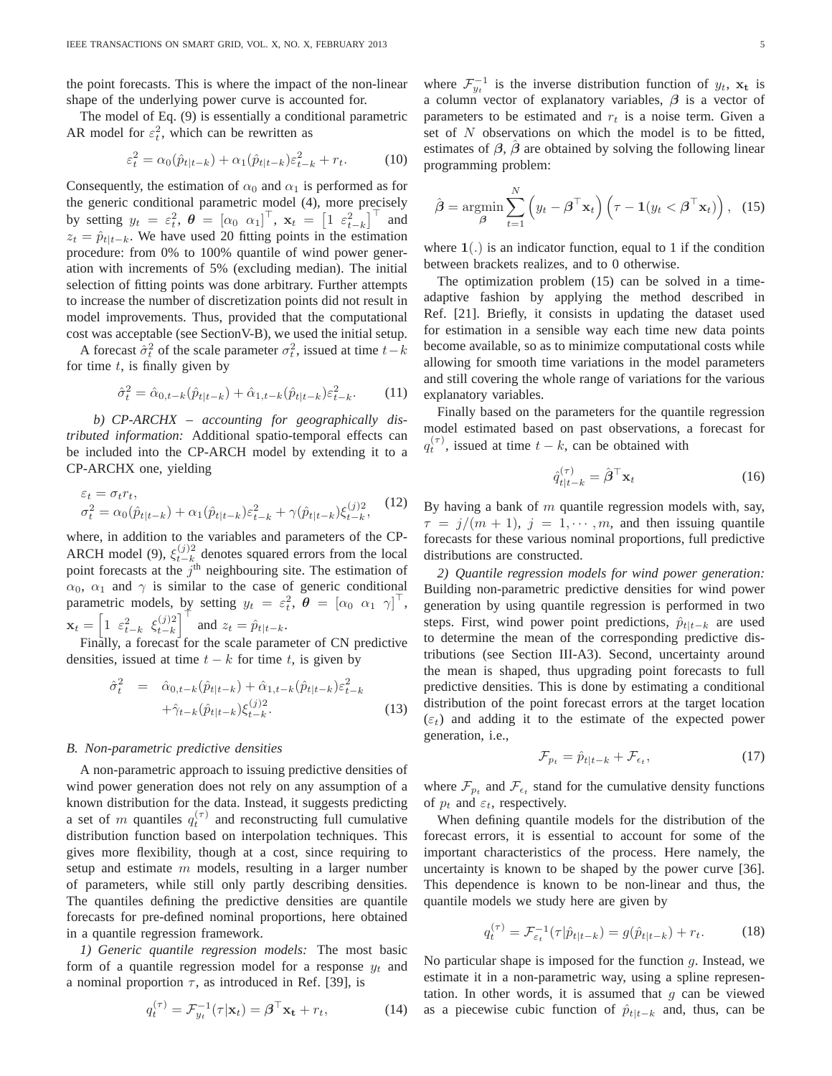the point forecasts. This is where the impact of the non-linear shape of the underlying power curve is accounted for.

The model of Eq. (9) is essentially a conditional parametric AR model for  $\varepsilon_t^2$ , which can be rewritten as

$$
\varepsilon_t^2 = \alpha_0(\hat{p}_{t|t-k}) + \alpha_1(\hat{p}_{t|t-k})\varepsilon_{t-k}^2 + r_t.
$$
 (10)

Consequently, the estimation of  $\alpha_0$  and  $\alpha_1$  is performed as for the generic conditional parametric model (4), more precisely by setting  $y_t = \varepsilon_t^2$ ,  $\boldsymbol{\theta} = [\alpha_0 \ \alpha_1]^\top$ ,  $\mathbf{x}_t = [\alpha_1 \ \varepsilon_{t-k}^2]^\top$  and  $z_t = \hat{p}_{t|t-k}$ . We have used 20 fitting points in the estimation procedure: from 0% to 100% quantile of wind power generation with increments of 5% (excluding median). The initial selection of fitting points was done arbitrary. Further attempts to increase the number of discretization points did not result in model improvements. Thus, provided that the computational cost was acceptable (see SectionV-B), we used the initial setup.

A forecast  $\hat{\sigma}_t^2$  of the scale parameter  $\sigma_t^2$ , issued at time  $t-k$ for time  $t$ , is finally given by

$$
\hat{\sigma}_t^2 = \hat{\alpha}_{0,t-k}(\hat{p}_{t|t-k}) + \hat{\alpha}_{1,t-k}(\hat{p}_{t|t-k})\varepsilon_{t-k}^2.
$$
 (11)

*b) CP-ARCHX – accounting for geographically distributed information:* Additional spatio-temporal effects can be included into the CP-ARCH model by extending it to a CP-ARCHX one, yielding

$$
\varepsilon_t = \sigma_t r_t,
$$
  
\n
$$
\sigma_t^2 = \alpha_0(\hat{p}_{t|t-k}) + \alpha_1(\hat{p}_{t|t-k})\varepsilon_{t-k}^2 + \gamma(\hat{p}_{t|t-k})\xi_{t-k}^{(j)2},
$$
\n(12)

where, in addition to the variables and parameters of the CP-ARCH model (9),  $\xi_{t-k}^{(j)2}$  $\frac{d^{(j)}_t}{dt-k}$  denotes squared errors from the local point forecasts at the  $j<sup>th</sup>$  neighbouring site. The estimation of  $\alpha_0$ ,  $\alpha_1$  and  $\gamma$  is similar to the case of generic conditional parametric models, by setting  $y_t = \varepsilon_t^2$ ,  $\boldsymbol{\theta} = [\alpha_0 \ \alpha_1 \ \gamma]^\top$ ,  $\mathbf{x}_t = \begin{bmatrix} 1 & \varepsilon_{t-k}^2 & \xi_{t-k}^{(j)2} \end{bmatrix}$  $\begin{bmatrix} (j)2 \\ t-k \end{bmatrix}^{\top}$  and  $z_t = \hat{p}_{t|t-k}$ .

Finally, a forecast for the scale parameter of CN predictive densities, issued at time  $t - k$  for time t, is given by

$$
\hat{\sigma}_t^2 = \hat{\alpha}_{0,t-k}(\hat{p}_{t|t-k}) + \hat{\alpha}_{1,t-k}(\hat{p}_{t|t-k})\varepsilon_{t-k}^2 + \hat{\gamma}_{t-k}(\hat{p}_{t|t-k})\xi_{t-k}^{(j)2}.
$$
\n(13)

#### *B. Non-parametric predictive densities*

A non-parametric approach to issuing predictive densities of wind power generation does not rely on any assumption of a known distribution for the data. Instead, it suggests predicting a set of m quantiles  $q_t^{(\tau)}$  and reconstructing full cumulative distribution function based on interpolation techniques. This gives more flexibility, though at a cost, since requiring to setup and estimate m models, resulting in a larger number of parameters, while still only partly describing densities. The quantiles defining the predictive densities are quantile forecasts for pre-defined nominal proportions, here obtained in a quantile regression framework.

*1) Generic quantile regression models:* The most basic form of a quantile regression model for a response  $y_t$  and a nominal proportion  $\tau$ , as introduced in Ref. [39], is

$$
q_t^{(\tau)} = \mathcal{F}_{y_t}^{-1}(\tau | \mathbf{x}_t) = \boldsymbol{\beta}^\top \mathbf{x_t} + r_t,
$$
 (14)

where  $\mathcal{F}_{y_t}^{-1}$  is the inverse distribution function of  $y_t$ ,  $\mathbf{x_t}$  is a column vector of explanatory variables,  $\beta$  is a vector of parameters to be estimated and  $r_t$  is a noise term. Given a set of N observations on which the model is to be fitted, estimates of  $\beta$ ,  $\beta$  are obtained by solving the following linear programming problem:

$$
\hat{\boldsymbol{\beta}} = \operatorname*{argmin}_{\boldsymbol{\beta}} \sum_{t=1}^{N} \left( y_t - \boldsymbol{\beta}^{\top} \mathbf{x}_t \right) \left( \tau - \mathbf{1} (y_t < \boldsymbol{\beta}^{\top} \mathbf{x}_t) \right), \tag{15}
$$

where  $1(.)$  is an indicator function, equal to 1 if the condition between brackets realizes, and to 0 otherwise.

The optimization problem (15) can be solved in a timeadaptive fashion by applying the method described in Ref. [21]. Briefly, it consists in updating the dataset used for estimation in a sensible way each time new data points become available, so as to minimize computational costs while allowing for smooth time variations in the model parameters and still covering the whole range of variations for the various explanatory variables.

Finally based on the parameters for the quantile regression model estimated based on past observations, a forecast for  $q_t^{(\tau)}$ , issued at time  $t - k$ , can be obtained with

$$
\hat{q}_{t|t-k}^{(\tau)} = \hat{\boldsymbol{\beta}}^{\top} \mathbf{x}_t \tag{16}
$$

By having a bank of  $m$  quantile regression models with, say,  $\tau = j/(m + 1), j = 1, \dots, m$ , and then issuing quantile forecasts for these various nominal proportions, full predictive distributions are constructed.

*2) Quantile regression models for wind power generation:* Building non-parametric predictive densities for wind power generation by using quantile regression is performed in two steps. First, wind power point predictions,  $\hat{p}_{t|t-k}$  are used to determine the mean of the corresponding predictive distributions (see Section III-A3). Second, uncertainty around the mean is shaped, thus upgrading point forecasts to full predictive densities. This is done by estimating a conditional distribution of the point forecast errors at the target location  $(\varepsilon_t)$  and adding it to the estimate of the expected power generation, i.e.,

$$
\mathcal{F}_{p_t} = \hat{p}_{t|t-k} + \mathcal{F}_{\epsilon_t},\tag{17}
$$

where  $\mathcal{F}_{p_t}$  and  $\mathcal{F}_{\epsilon_t}$  stand for the cumulative density functions of  $p_t$  and  $\varepsilon_t$ , respectively.

When defining quantile models for the distribution of the forecast errors, it is essential to account for some of the important characteristics of the process. Here namely, the uncertainty is known to be shaped by the power curve [36]. This dependence is known to be non-linear and thus, the quantile models we study here are given by

$$
q_t^{(\tau)} = \mathcal{F}_{\varepsilon_t}^{-1}(\tau|\hat{p}_{t|t-k}) = g(\hat{p}_{t|t-k}) + r_t.
$$
 (18)

No particular shape is imposed for the function  $q$ . Instead, we estimate it in a non-parametric way, using a spline representation. In other words, it is assumed that  $g$  can be viewed as a piecewise cubic function of  $\hat{p}_{t|t-k}$  and, thus, can be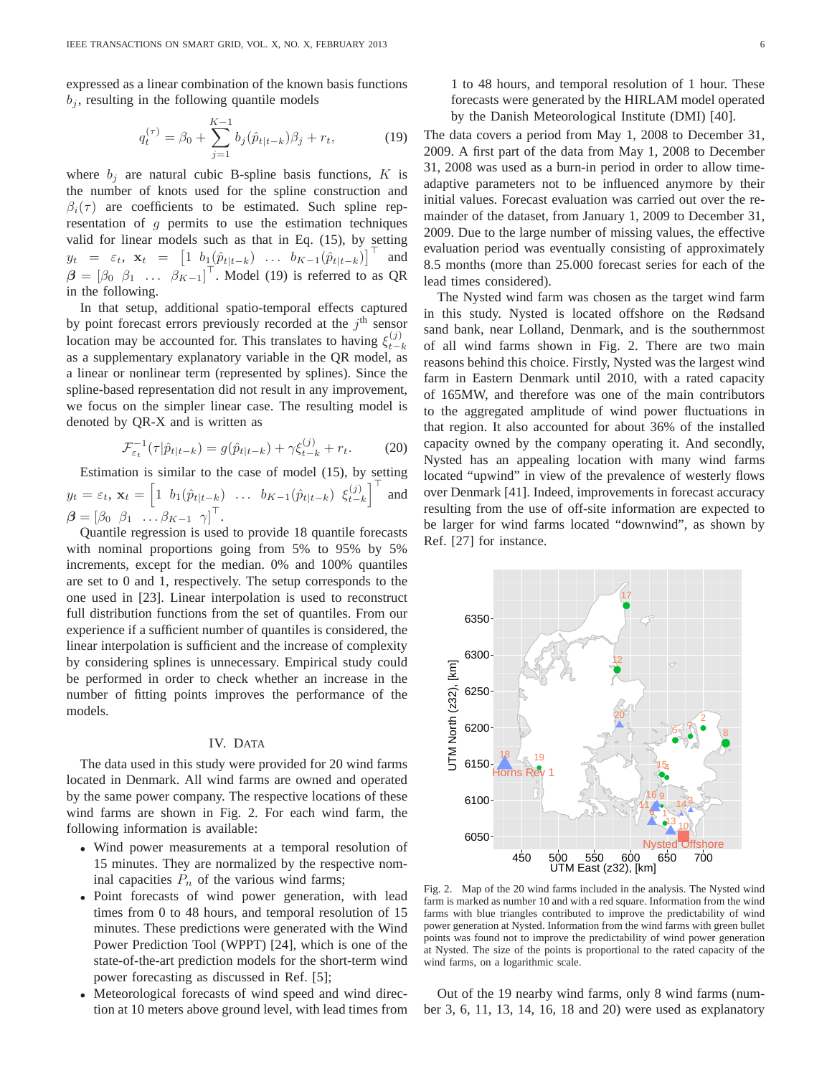expressed as a linear combination of the known basis functions  $b_i$ , resulting in the following quantile models

$$
q_t^{(\tau)} = \beta_0 + \sum_{j=1}^{K-1} b_j (\hat{p}_{t|t-k}) \beta_j + r_t,
$$
 (19)

where  $b_j$  are natural cubic B-spline basis functions, K is the number of knots used for the spline construction and  $\beta_i(\tau)$  are coefficients to be estimated. Such spline representation of  $q$  permits to use the estimation techniques valid for linear models such as that in Eq. (15), by setting  $y_t = \varepsilon_t$ ,  $\mathbf{x}_t = \begin{bmatrix} 1 & b_1(\hat{p}_{t|t-k}) & \dots & b_{K-1}(\hat{p}_{t|t-k}) \end{bmatrix}^\top$  and  $\beta = [\beta_0 \ \beta_1 \ \dots \ \beta_{K-1}]^{\top}$ . Model (19) is referred to as QR in the following.

In that setup, additional spatio-temporal effects captured by point forecast errors previously recorded at the  $j<sup>th</sup>$  sensor location may be accounted for. This translates to having  $\xi_{t-1}^{(j)}$  $t-k$ as a supplementary explanatory variable in the QR model, as a linear or nonlinear term (represented by splines). Since the spline-based representation did not result in any improvement, we focus on the simpler linear case. The resulting model is denoted by QR-X and is written as

$$
\mathcal{F}_{\varepsilon_t}^{-1}(\tau|\hat{p}_{t|t-k}) = g(\hat{p}_{t|t-k}) + \gamma \xi_{t-k}^{(j)} + r_t.
$$
 (20)

Estimation is similar to the case of model (15), by setting  $y_t = \varepsilon_t, \, \mathbf{x}_t = \begin{bmatrix} 1 & b_1(\hat{p}_{t|t-k}) & \ldots & b_{K-1}(\hat{p}_{t|t-k}) & \xi_{t-k}^{(j)} \end{bmatrix}$  $\begin{bmatrix} (j) \\ t-k \end{bmatrix}^{\top}$ and  $\boldsymbol{\beta} = \begin{bmatrix} \beta_0 & \beta_1 & \dots & \beta_{K-1} & \gamma \end{bmatrix}^{\top}$ .

Quantile regression is used to provide 18 quantile forecasts with nominal proportions going from 5% to 95% by 5% increments, except for the median. 0% and 100% quantiles are set to 0 and 1, respectively. The setup corresponds to the one used in [23]. Linear interpolation is used to reconstruct full distribution functions from the set of quantiles. From our experience if a sufficient number of quantiles is considered, the linear interpolation is sufficient and the increase of complexity by considering splines is unnecessary. Empirical study could be performed in order to check whether an increase in the number of fitting points improves the performance of the models.

#### IV. DATA

The data used in this study were provided for 20 wind farms located in Denmark. All wind farms are owned and operated by the same power company. The respective locations of these wind farms are shown in Fig. 2. For each wind farm, the following information is available:

- Wind power measurements at a temporal resolution of 15 minutes. They are normalized by the respective nominal capacities  $P_n$  of the various wind farms;
- Point forecasts of wind power generation, with lead times from 0 to 48 hours, and temporal resolution of 15 minutes. These predictions were generated with the Wind Power Prediction Tool (WPPT) [24], which is one of the state-of-the-art prediction models for the short-term wind power forecasting as discussed in Ref. [5];
- Meteorological forecasts of wind speed and wind direction at 10 meters above ground level, with lead times from

1 to 48 hours, and temporal resolution of 1 hour. These forecasts were generated by the HIRLAM model operated by the Danish Meteorological Institute (DMI) [40].

The data covers a period from May 1, 2008 to December 31, 2009. A first part of the data from May 1, 2008 to December 31, 2008 was used as a burn-in period in order to allow timeadaptive parameters not to be influenced anymore by their initial values. Forecast evaluation was carried out over the remainder of the dataset, from January 1, 2009 to December 31, 2009. Due to the large number of missing values, the effective evaluation period was eventually consisting of approximately 8.5 months (more than 25.000 forecast series for each of the lead times considered).

The Nysted wind farm was chosen as the target wind farm in this study. Nysted is located offshore on the Rødsand sand bank, near Lolland, Denmark, and is the southernmost of all wind farms shown in Fig. 2. There are two main reasons behind this choice. Firstly, Nysted was the largest wind farm in Eastern Denmark until 2010, with a rated capacity of 165MW, and therefore was one of the main contributors to the aggregated amplitude of wind power fluctuations in that region. It also accounted for about 36% of the installed capacity owned by the company operating it. And secondly, Nysted has an appealing location with many wind farms located "upwind" in view of the prevalence of westerly flows over Denmark [41]. Indeed, improvements in forecast accuracy resulting from the use of off-site information are expected to be larger for wind farms located "downwind", as shown by Ref. [27] for instance.



Fig. 2. Map of the 20 wind farms included in the analysis. The Nysted wind farm is marked as number 10 and with a red square. Information from the wind farms with blue triangles contributed to improve the predictability of wind power generation at Nysted. Information from the wind farms with green bullet points was found not to improve the predictability of wind power generation at Nysted. The size of the points is proportional to the rated capacity of the wind farms, on a logarithmic scale.

Out of the 19 nearby wind farms, only 8 wind farms (number 3, 6, 11, 13, 14, 16, 18 and 20) were used as explanatory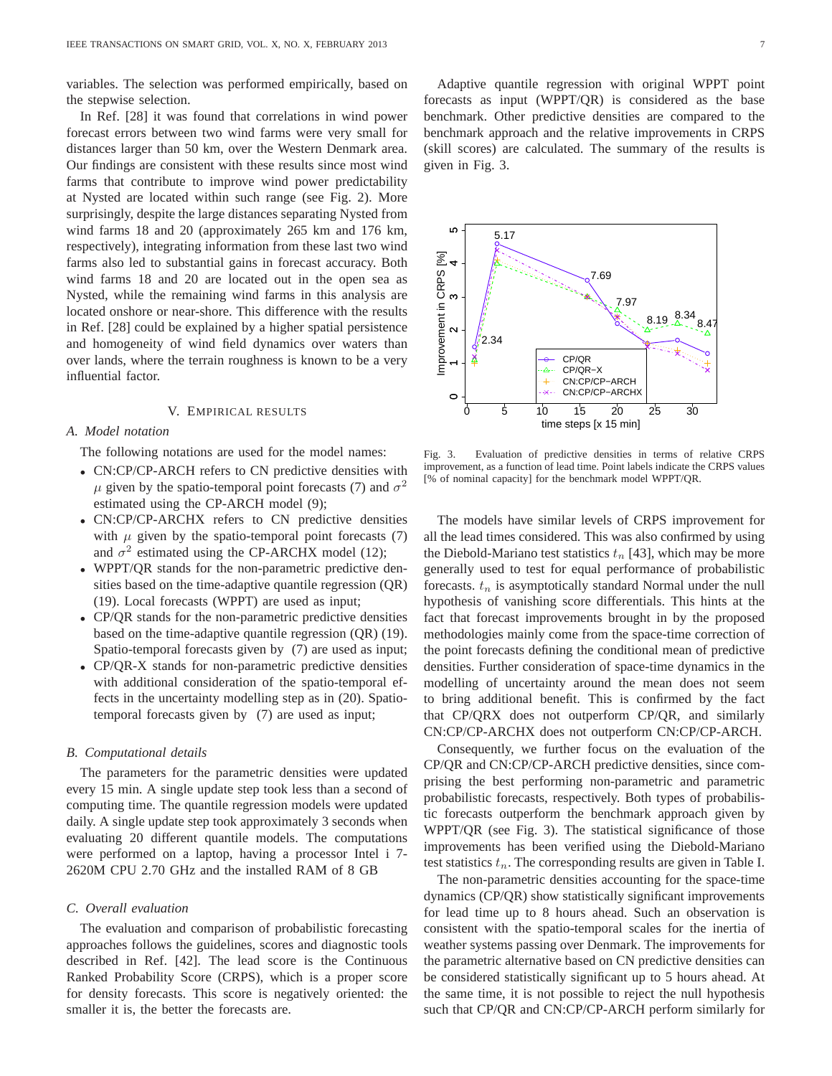variables. The selection was performed empirically, based on the stepwise selection.

In Ref. [28] it was found that correlations in wind power forecast errors between two wind farms were very small for distances larger than 50 km, over the Western Denmark area. Our findings are consistent with these results since most wind farms that contribute to improve wind power predictability at Nysted are located within such range (see Fig. 2). More surprisingly, despite the large distances separating Nysted from wind farms 18 and 20 (approximately 265 km and 176 km, respectively), integrating information from these last two wind farms also led to substantial gains in forecast accuracy. Both wind farms 18 and 20 are located out in the open sea as Nysted, while the remaining wind farms in this analysis are located onshore or near-shore. This difference with the results in Ref. [28] could be explained by a higher spatial persistence and homogeneity of wind field dynamics over waters than over lands, where the terrain roughness is known to be a very influential factor.

#### V. EMPIRICAL RESULTS

## *A. Model notation*

The following notations are used for the model names:

- CN:CP/CP-ARCH refers to CN predictive densities with  $\mu$  given by the spatio-temporal point forecasts (7) and  $\sigma^2$ estimated using the CP-ARCH model (9);
- CN:CP/CP-ARCHX refers to CN predictive densities with  $\mu$  given by the spatio-temporal point forecasts (7) and  $\sigma^2$  estimated using the CP-ARCHX model (12);
- WPPT/QR stands for the non-parametric predictive densities based on the time-adaptive quantile regression (QR) (19). Local forecasts (WPPT) are used as input;
- CP/QR stands for the non-parametric predictive densities based on the time-adaptive quantile regression (QR) (19). Spatio-temporal forecasts given by (7) are used as input;
- CP/QR-X stands for non-parametric predictive densities with additional consideration of the spatio-temporal effects in the uncertainty modelling step as in (20). Spatiotemporal forecasts given by (7) are used as input;

## *B. Computational details*

The parameters for the parametric densities were updated every 15 min. A single update step took less than a second of computing time. The quantile regression models were updated daily. A single update step took approximately 3 seconds when evaluating 20 different quantile models. The computations were performed on a laptop, having a processor Intel i 7- 2620M CPU 2.70 GHz and the installed RAM of 8 GB

### *C. Overall evaluation*

The evaluation and comparison of probabilistic forecasting approaches follows the guidelines, scores and diagnostic tools described in Ref. [42]. The lead score is the Continuous Ranked Probability Score (CRPS), which is a proper score for density forecasts. This score is negatively oriented: the smaller it is, the better the forecasts are.

Adaptive quantile regression with original WPPT point forecasts as input (WPPT/QR) is considered as the base benchmark. Other predictive densities are compared to the benchmark approach and the relative improvements in CRPS (skill scores) are calculated. The summary of the results is given in Fig. 3.



Fig. 3. Evaluation of predictive densities in terms of relative CRPS improvement, as a function of lead time. Point labels indicate the CRPS values [% of nominal capacity] for the benchmark model WPPT/QR.

The models have similar levels of CRPS improvement for all the lead times considered. This was also confirmed by using the Diebold-Mariano test statistics  $t_n$  [43], which may be more generally used to test for equal performance of probabilistic forecasts.  $t_n$  is asymptotically standard Normal under the null hypothesis of vanishing score differentials. This hints at the fact that forecast improvements brought in by the proposed methodologies mainly come from the space-time correction of the point forecasts defining the conditional mean of predictive densities. Further consideration of space-time dynamics in the modelling of uncertainty around the mean does not seem to bring additional benefit. This is confirmed by the fact that CP/QRX does not outperform CP/QR, and similarly CN:CP/CP-ARCHX does not outperform CN:CP/CP-ARCH.

Consequently, we further focus on the evaluation of the CP/QR and CN:CP/CP-ARCH predictive densities, since comprising the best performing non-parametric and parametric probabilistic forecasts, respectively. Both types of probabilistic forecasts outperform the benchmark approach given by WPPT/QR (see Fig. 3). The statistical significance of those improvements has been verified using the Diebold-Mariano test statistics  $t_n$ . The corresponding results are given in Table I.

The non-parametric densities accounting for the space-time dynamics (CP/QR) show statistically significant improvements for lead time up to 8 hours ahead. Such an observation is consistent with the spatio-temporal scales for the inertia of weather systems passing over Denmark. The improvements for the parametric alternative based on CN predictive densities can be considered statistically significant up to 5 hours ahead. At the same time, it is not possible to reject the null hypothesis such that CP/QR and CN:CP/CP-ARCH perform similarly for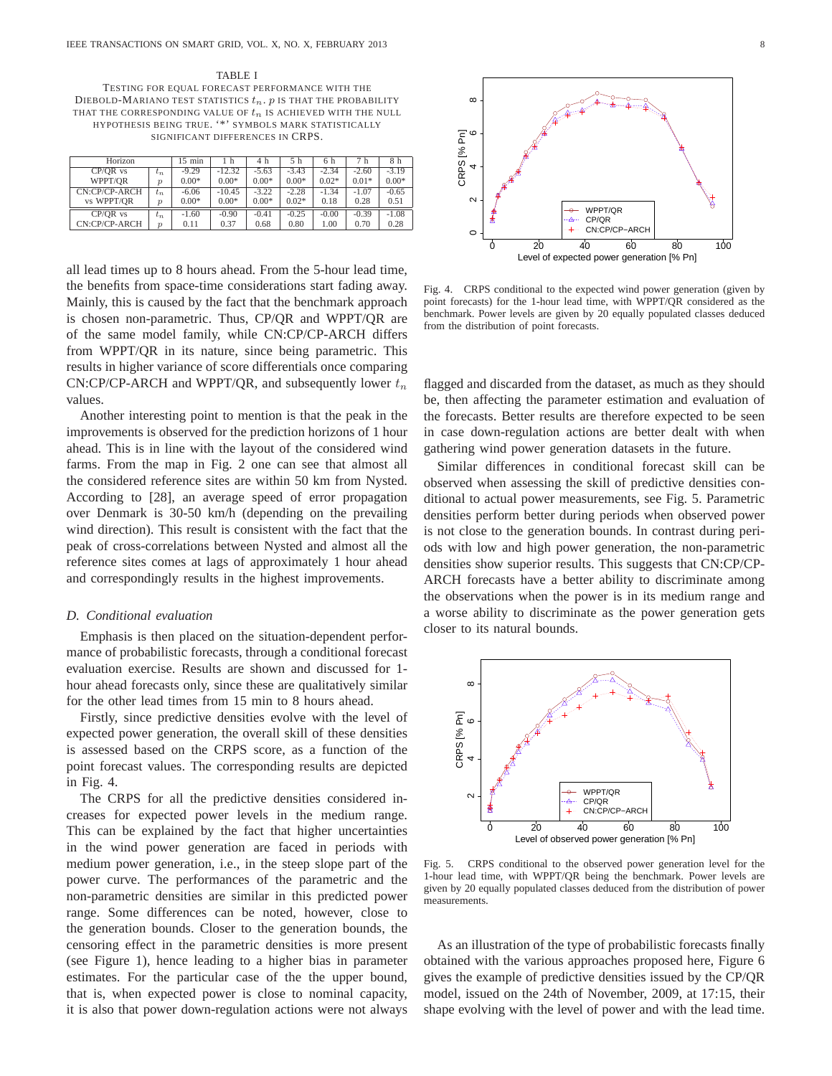TABLE I TESTING FOR EQUAL FORECAST PERFORMANCE WITH THE DIEBOLD-MARIANO TEST STATISTICS  $t_n$ . p IS THAT THE PROBABILITY THAT THE CORRESPONDING VALUE OF  $t_n$  is achieved with the null HYPOTHESIS BEING TRUE. '\*' SYMBOLS MARK STATISTICALLY SIGNIFICANT DIFFERENCES IN CRPS.

| Horizon         |                     | $15$ min | 1 h      | 4 h     | 5 h     | 6 h     | 7 h     | 8 h     |
|-----------------|---------------------|----------|----------|---------|---------|---------|---------|---------|
| CP/OR vs        | $t_n$               | $-9.29$  | $-12.32$ | $-5.63$ | $-3.43$ | $-2.34$ | $-2.60$ | $-3.19$ |
| WPPT/OR         | $\boldsymbol{v}$    | $0.00*$  | $0.00*$  | $0.00*$ | $0.00*$ | $0.02*$ | $0.01*$ | $0.00*$ |
| $CN:CP/CP-ARCH$ | $t_n$               | $-6.06$  | $-10.45$ | $-3.22$ | $-2.28$ | $-1.34$ | $-1.07$ | $-0.65$ |
| vs WPPT/OR      | $\boldsymbol{\eta}$ | $0.00*$  | $0.00*$  | $0.00*$ | $0.02*$ | 0.18    | 0.28    | 0.51    |
| CP/OR vs        | $t_n$               | $-1.60$  | $-0.90$  | $-0.41$ | $-0.25$ | $-0.00$ | $-0.39$ | $-1.08$ |
| CN:CP/CP-ARCH   | Ď                   | 0.11     | 0.37     | 0.68    | 0.80    | 1.00    | 0.70    | 0.28    |

all lead times up to 8 hours ahead. From the 5-hour lead time, the benefits from space-time considerations start fading away. Mainly, this is caused by the fact that the benchmark approach is chosen non-parametric. Thus, CP/QR and WPPT/QR are of the same model family, while CN:CP/CP-ARCH differs from WPPT/QR in its nature, since being parametric. This results in higher variance of score differentials once comparing CN:CP/CP-ARCH and WPPT/QR, and subsequently lower  $t_n$ values.

Another interesting point to mention is that the peak in the improvements is observed for the prediction horizons of 1 hour ahead. This is in line with the layout of the considered wind farms. From the map in Fig. 2 one can see that almost all the considered reference sites are within 50 km from Nysted. According to [28], an average speed of error propagation over Denmark is 30-50 km/h (depending on the prevailing wind direction). This result is consistent with the fact that the peak of cross-correlations between Nysted and almost all the reference sites comes at lags of approximately 1 hour ahead and correspondingly results in the highest improvements.

## *D. Conditional evaluation*

Emphasis is then placed on the situation-dependent performance of probabilistic forecasts, through a conditional forecast evaluation exercise. Results are shown and discussed for 1 hour ahead forecasts only, since these are qualitatively similar for the other lead times from 15 min to 8 hours ahead.

Firstly, since predictive densities evolve with the level of expected power generation, the overall skill of these densities is assessed based on the CRPS score, as a function of the point forecast values. The corresponding results are depicted in Fig. 4.

The CRPS for all the predictive densities considered increases for expected power levels in the medium range. This can be explained by the fact that higher uncertainties in the wind power generation are faced in periods with medium power generation, i.e., in the steep slope part of the power curve. The performances of the parametric and the non-parametric densities are similar in this predicted power range. Some differences can be noted, however, close to the generation bounds. Closer to the generation bounds, the censoring effect in the parametric densities is more present (see Figure 1), hence leading to a higher bias in parameter estimates. For the particular case of the the upper bound, that is, when expected power is close to nominal capacity, it is also that power down-regulation actions were not always



Fig. 4. CRPS conditional to the expected wind power generation (given by point forecasts) for the 1-hour lead time, with WPPT/QR considered as the benchmark. Power levels are given by 20 equally populated classes deduced from the distribution of point forecasts.

flagged and discarded from the dataset, as much as they should be, then affecting the parameter estimation and evaluation of the forecasts. Better results are therefore expected to be seen in case down-regulation actions are better dealt with when gathering wind power generation datasets in the future.

Similar differences in conditional forecast skill can be observed when assessing the skill of predictive densities conditional to actual power measurements, see Fig. 5. Parametric densities perform better during periods when observed power is not close to the generation bounds. In contrast during periods with low and high power generation, the non-parametric densities show superior results. This suggests that CN:CP/CP-ARCH forecasts have a better ability to discriminate among the observations when the power is in its medium range and a worse ability to discriminate as the power generation gets closer to its natural bounds.



Fig. 5. CRPS conditional to the observed power generation level for the 1-hour lead time, with WPPT/QR being the benchmark. Power levels are given by 20 equally populated classes deduced from the distribution of power measurements.

As an illustration of the type of probabilistic forecasts finally obtained with the various approaches proposed here, Figure 6 gives the example of predictive densities issued by the CP/QR model, issued on the 24th of November, 2009, at 17:15, their shape evolving with the level of power and with the lead time.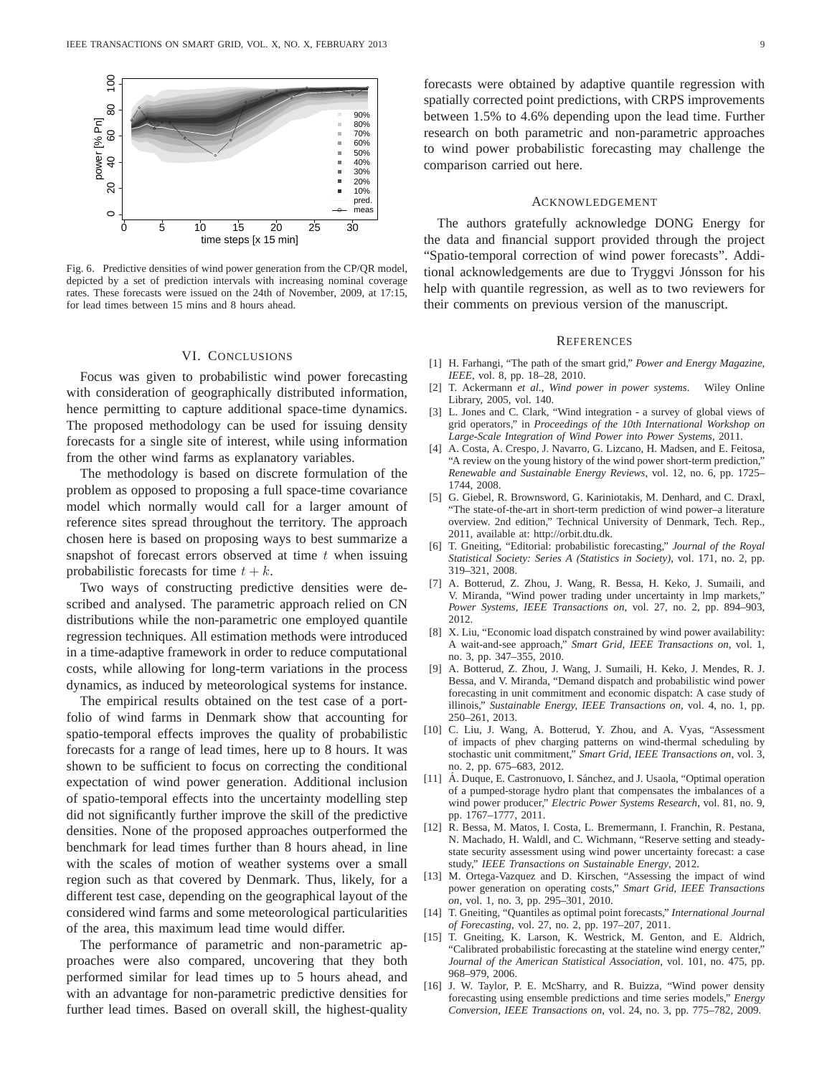

Fig. 6. Predictive densities of wind power generation from the CP/QR model, depicted by a set of prediction intervals with increasing nominal coverage rates. These forecasts were issued on the 24th of November, 2009, at 17:15, for lead times between 15 mins and 8 hours ahead.

## VI. CONCLUSIONS

Focus was given to probabilistic wind power forecasting with consideration of geographically distributed information, hence permitting to capture additional space-time dynamics. The proposed methodology can be used for issuing density forecasts for a single site of interest, while using information from the other wind farms as explanatory variables.

The methodology is based on discrete formulation of the problem as opposed to proposing a full space-time covariance model which normally would call for a larger amount of reference sites spread throughout the territory. The approach chosen here is based on proposing ways to best summarize a snapshot of forecast errors observed at time  $t$  when issuing probabilistic forecasts for time  $t + k$ .

Two ways of constructing predictive densities were described and analysed. The parametric approach relied on CN distributions while the non-parametric one employed quantile regression techniques. All estimation methods were introduced in a time-adaptive framework in order to reduce computational costs, while allowing for long-term variations in the process dynamics, as induced by meteorological systems for instance.

The empirical results obtained on the test case of a portfolio of wind farms in Denmark show that accounting for spatio-temporal effects improves the quality of probabilistic forecasts for a range of lead times, here up to 8 hours. It was shown to be sufficient to focus on correcting the conditional expectation of wind power generation. Additional inclusion of spatio-temporal effects into the uncertainty modelling step did not significantly further improve the skill of the predictive densities. None of the proposed approaches outperformed the benchmark for lead times further than 8 hours ahead, in line with the scales of motion of weather systems over a small region such as that covered by Denmark. Thus, likely, for a different test case, depending on the geographical layout of the considered wind farms and some meteorological particularities of the area, this maximum lead time would differ.

The performance of parametric and non-parametric approaches were also compared, uncovering that they both performed similar for lead times up to 5 hours ahead, and with an advantage for non-parametric predictive densities for further lead times. Based on overall skill, the highest-quality forecasts were obtained by adaptive quantile regression with spatially corrected point predictions, with CRPS improvements between 1.5% to 4.6% depending upon the lead time. Further research on both parametric and non-parametric approaches to wind power probabilistic forecasting may challenge the comparison carried out here.

# ACKNOWLEDGEMENT

The authors gratefully acknowledge DONG Energy for the data and financial support provided through the project "Spatio-temporal correction of wind power forecasts". Additional acknowledgements are due to Tryggvi Jónsson for his help with quantile regression, as well as to two reviewers for their comments on previous version of the manuscript.

#### **REFERENCES**

- [1] H. Farhangi, "The path of the smart grid," *Power and Energy Magazine, IEEE*, vol. 8, pp. 18–28, 2010.
- [2] T. Ackermann *et al.*, *Wind power in power systems*. Wiley Online Library, 2005, vol. 140.
- [3] L. Jones and C. Clark, "Wind integration a survey of global views of grid operators," in *Proceedings of the 10th International Workshop on Large-Scale Integration of Wind Power into Power Systems*, 2011.
- [4] A. Costa, A. Crespo, J. Navarro, G. Lizcano, H. Madsen, and E. Feitosa, "A review on the young history of the wind power short-term prediction," *Renewable and Sustainable Energy Reviews*, vol. 12, no. 6, pp. 1725– 1744, 2008.
- [5] G. Giebel, R. Brownsword, G. Kariniotakis, M. Denhard, and C. Draxl, "The state-of-the-art in short-term prediction of wind power–a literature overview. 2nd edition," Technical University of Denmark, Tech. Rep., 2011, available at: http://orbit.dtu.dk.
- [6] T. Gneiting, "Editorial: probabilistic forecasting," *Journal of the Royal Statistical Society: Series A (Statistics in Society)*, vol. 171, no. 2, pp. 319–321, 2008.
- [7] A. Botterud, Z. Zhou, J. Wang, R. Bessa, H. Keko, J. Sumaili, and V. Miranda, "Wind power trading under uncertainty in lmp markets," *Power Systems, IEEE Transactions on*, vol. 27, no. 2, pp. 894–903, 2012.
- [8] X. Liu, "Economic load dispatch constrained by wind power availability: A wait-and-see approach," *Smart Grid, IEEE Transactions on*, vol. 1, no. 3, pp. 347–355, 2010.
- [9] A. Botterud, Z. Zhou, J. Wang, J. Sumaili, H. Keko, J. Mendes, R. J. Bessa, and V. Miranda, "Demand dispatch and probabilistic wind power forecasting in unit commitment and economic dispatch: A case study of illinois," *Sustainable Energy, IEEE Transactions on*, vol. 4, no. 1, pp. 250–261, 2013.
- [10] C. Liu, J. Wang, A. Botterud, Y. Zhou, and A. Vyas, "Assessment of impacts of phev charging patterns on wind-thermal scheduling by stochastic unit commitment," *Smart Grid, IEEE Transactions on*, vol. 3, no. 2, pp. 675–683, 2012.
- [11] Á. Duque, E. Castronuovo, I. Sánchez, and J. Usaola, "Optimal operation of a pumped-storage hydro plant that compensates the imbalances of a wind power producer," *Electric Power Systems Research*, vol. 81, no. 9, pp. 1767–1777, 2011.
- [12] R. Bessa, M. Matos, I. Costa, L. Bremermann, I. Franchin, R. Pestana, N. Machado, H. Waldl, and C. Wichmann, "Reserve setting and steadystate security assessment using wind power uncertainty forecast: a case study," *IEEE Transactions on Sustainable Energy*, 2012.
- [13] M. Ortega-Vazquez and D. Kirschen, "Assessing the impact of wind power generation on operating costs," *Smart Grid, IEEE Transactions on*, vol. 1, no. 3, pp. 295–301, 2010.
- [14] T. Gneiting, "Quantiles as optimal point forecasts," *International Journal of Forecasting*, vol. 27, no. 2, pp. 197–207, 2011.
- [15] T. Gneiting, K. Larson, K. Westrick, M. Genton, and E. Aldrich, "Calibrated probabilistic forecasting at the stateline wind energy center," *Journal of the American Statistical Association*, vol. 101, no. 475, pp. 968–979, 2006.
- [16] J. W. Taylor, P. E. McSharry, and R. Buizza, "Wind power density forecasting using ensemble predictions and time series models," *Energy Conversion, IEEE Transactions on*, vol. 24, no. 3, pp. 775–782, 2009.